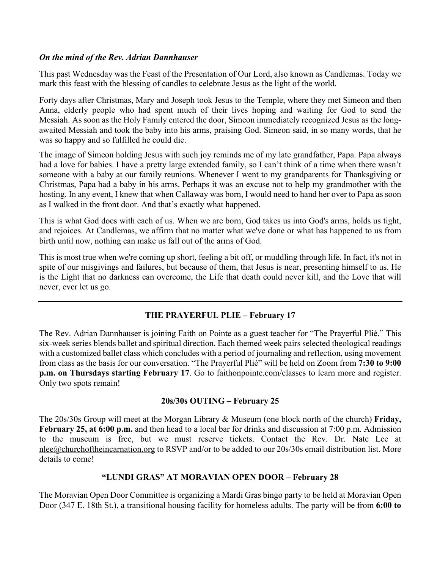#### *On the mind of the Rev. Adrian Dannhauser*

This past Wednesday was the Feast of the Presentation of Our Lord, also known as Candlemas. Today we mark this feast with the blessing of candles to celebrate Jesus as the light of the world.

Forty days after Christmas, Mary and Joseph took Jesus to the Temple, where they met Simeon and then Anna, elderly people who had spent much of their lives hoping and waiting for God to send the Messiah. As soon as the Holy Family entered the door, Simeon immediately recognized Jesus as the longawaited Messiah and took the baby into his arms, praising God. Simeon said, in so many words, that he was so happy and so fulfilled he could die.

The image of Simeon holding Jesus with such joy reminds me of my late grandfather, Papa. Papa always had a love for babies. I have a pretty large extended family, so I can't think of a time when there wasn't someone with a baby at our family reunions. Whenever I went to my grandparents for Thanksgiving or Christmas, Papa had a baby in his arms. Perhaps it was an excuse not to help my grandmother with the hosting. In any event, I knew that when Callaway was born, I would need to hand her over to Papa as soon as I walked in the front door. And that's exactly what happened.

This is what God does with each of us. When we are born, God takes us into God's arms, holds us tight, and rejoices. At Candlemas, we affirm that no matter what we've done or what has happened to us from birth until now, nothing can make us fall out of the arms of God.

This is most true when we're coming up short, feeling a bit off, or muddling through life. In fact, it's not in spite of our misgivings and failures, but because of them, that Jesus is near, presenting himself to us. He is the Light that no darkness can overcome, the Life that death could never kill, and the Love that will never, ever let us go.

# **THE PRAYERFUL PLIE – February 17**

The Rev. Adrian Dannhauser is joining Faith on Pointe as a guest teacher for "The Prayerful Plié." This six-week series blends ballet and spiritual direction. Each themed week pairs selected theological readings with a customized ballet class which concludes with a period of journaling and reflection, using movement from class as the basis for our conversation. "The Prayerful Plié" will be held on Zoom from **7:30 to 9:00 p.m. on Thursdays starting February 17**. Go to faithonpointe.com/classes to learn more and register. Only two spots remain!

# **20s/30s OUTING – February 25**

The 20s/30s Group will meet at the Morgan Library & Museum (one block north of the church) **Friday, February 25, at 6:00 p.m.** and then head to a local bar for drinks and discussion at 7:00 p.m. Admission to the museum is free, but we must reserve tickets. Contact the Rev. Dr. Nate Lee at nlee@churchoftheincarnation.org to RSVP and/or to be added to our 20s/30s email distribution list. More details to come!

# **"LUNDI GRAS" AT MORAVIAN OPEN DOOR – February 28**

The Moravian Open Door Committee is organizing a Mardi Gras bingo party to be held at Moravian Open Door (347 E. 18th St.), a transitional housing facility for homeless adults. The party will be from **6:00 to**